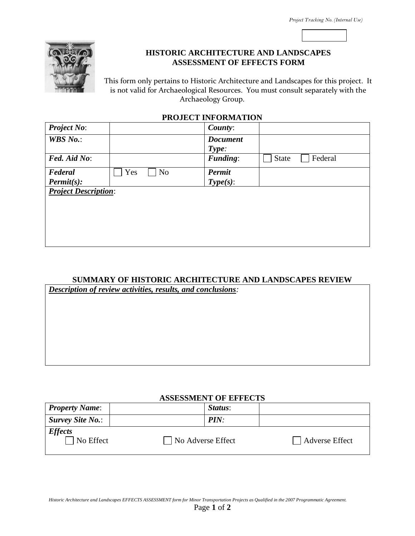

## **HISTORIC ARCHITECTURE AND LANDSCAPES ASSESSMENT OF EFFECTS FORM**

This form only pertains to Historic Architecture and Landscapes for this project. It is not valid for Archaeological Resources. You must consult separately with the Archaeology Group.

#### **PROJECT INFORMATION**

| <b>Project No:</b>          |                       | County:         |              |         |  |
|-----------------------------|-----------------------|-----------------|--------------|---------|--|
| <b>WBS</b> No.:             |                       | <b>Document</b> |              |         |  |
|                             |                       | Type:           |              |         |  |
| Fed. Aid No:                |                       | Funding:        | <b>State</b> | Federal |  |
| Federal                     | Yes<br>N <sub>o</sub> | Permit          |              |         |  |
| $\textit{Permit}(s)$ :      |                       | $Type(s)$ :     |              |         |  |
| <b>Project Description:</b> |                       |                 |              |         |  |
|                             |                       |                 |              |         |  |
|                             |                       |                 |              |         |  |
|                             |                       |                 |              |         |  |
|                             |                       |                 |              |         |  |
|                             |                       |                 |              |         |  |

# **SUMMARY OF HISTORIC ARCHITECTURE AND LANDSCAPES REVIEW**

*Description of review activities, results, and conclusions:*

#### **ASSESSMENT OF EFFECTS**

| <b>Property Name:</b>       | <i>Status:</i>    |                       |  |  |  |
|-----------------------------|-------------------|-----------------------|--|--|--|
| <b>Survey Site No.:</b>     | PIN:              |                       |  |  |  |
| <b>Effects</b><br>No Effect | No Adverse Effect | <b>Adverse Effect</b> |  |  |  |